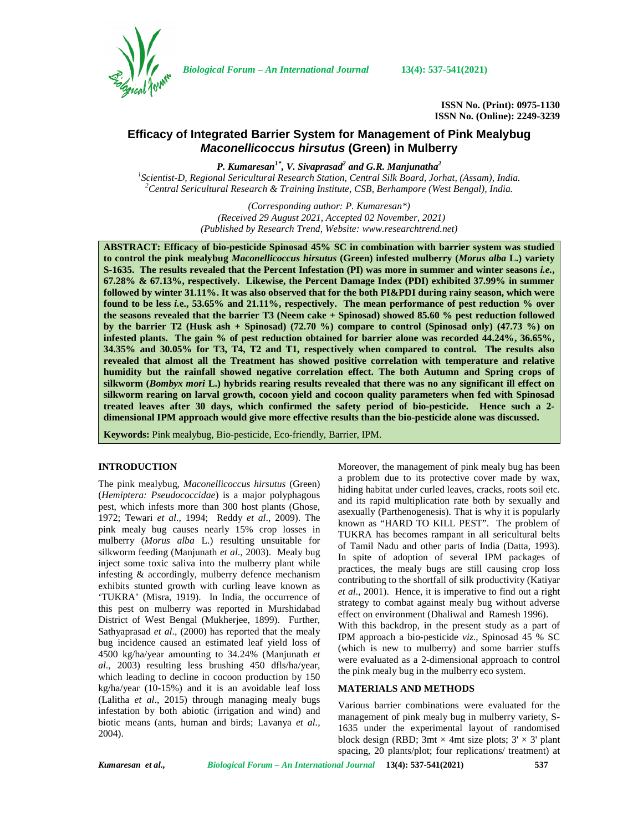

*Biological Forum – An International Journal* **13(4): 537-541(2021)**

**ISSN No. (Print): 0975-1130 ISSN No. (Online): 2249-3239**

# **Efficacy of Integrated Barrier System for Management of Pink Mealybug** *Maconellicoccus hirsutus* **(Green) in Mulberry**

*P. Kumaresan1\* , V. Sivaprasad<sup>2</sup> and G.R. Manjunatha<sup>2</sup>* <sup>1</sup>Scientist-D, Regional Sericultural Research Station, Central Silk Board, Jorhat, (Assam), India.<br><sup>2</sup>Central Sericultural Research & Training Institute, CSB, Berhampore (West Bengal), India.

> *(Corresponding author: P. Kumaresan\*) (Received 29 August 2021, Accepted 02 November, 2021) (Published by Research Trend, Website: [www.researchtrend.net\)](www.researchtrend.net)*

**ABSTRACT: Efficacy of bio-pesticide Spinosad 45% SC in combination with barrier system was studied to control the pink mealybug** *Maconellicoccus hirsutus* **(Green) infested mulberry (***Morus alba* **L.) variety S-1635. The results revealed that the Percent Infestation (PI) was more in summer and winter seasons** *i.e.***, 67.28% & 67.13%, respectively. Likewise, the Percent Damage Index (PDI) exhibited 37.99% in summer followed by winter 31.11%. It was also observed that for the both PI&PDI during rainy season, which were found to be less** *i.***e., 53.65% and 21.11%, respectively. The mean performance of pest reduction % over the seasons revealed that the barrier T3 (Neem cake + Spinosad) showed 85.60 % pest reduction followed by the barrier T2 (Husk ash + Spinosad) (72.70 %) compare to control (Spinosad only) (47.73 %) on infested plants. The gain % of pest reduction obtained for barrier alone was recorded 44.24%, 36.65%, 34.35% and 30.05% for T3, T4, T2 and T1, respectively when compared to control. The results also revealed that almost all the Treatment has showed positive correlation with temperature and relative humidity but the rainfall showed negative correlation effect. The both Autumn and Spring crops of silkworm (***Bombyx mori* **L.) hybrids rearing results revealed that there was no any significant ill effect on silkworm rearing on larval growth, cocoon yield and cocoon quality parameters when fed with Spinosad treated leaves after 30 days, which confirmed the safety period of bio-pesticide. Hence such a 2 dimensional IPM approach would give more effective results than the bio-pesticide alone was discussed.**

**Keywords:** Pink mealybug, Bio-pesticide, Eco-friendly, Barrier, IPM.

## **INTRODUCTION**

The pink mealybug, *Maconellicoccus hirsutus* (Green) (*Hemiptera: Pseudococcidae*) is a major polyphagous pest, which infests more than 300 host plants (Ghose, 1972; Tewari *et al*., 1994; Reddy *et al*., 2009). The pink mealy bug causes nearly 15% crop losses in mulberry (*Morus alba* L.) resulting unsuitable for silkworm feeding (Manjunath *et al*., 2003). Mealy bug inject some toxic saliva into the mulberry plant while infesting & accordingly, mulberry defence mechanism exhibits stunted growth with curling leave known as 'TUKRA' (Misra, 1919). In India, the occurrence of this pest on mulberry was reported in Murshidabad District of West Bengal (Mukherjee, 1899). Further, Sathyaprasad *et al*., (2000) has reported that the mealy bug incidence caused an estimated leaf yield loss of 4500 kg/ha/year amounting to 34.24% (Manjunath *et al*., 2003) resulting less brushing 450 dfls/ha/year, which leading to decline in cocoon production by 150 kg/ha/year (10-15%) and it is an avoidable leaf loss (Lalitha *et al*., 2015) through managing mealy bugs infestation by both abiotic (irrigation and wind) and biotic means (ants, human and birds; Lavanya *et al.,* 2004).

Moreover, the management of pink mealy bug has been a problem due to its protective cover made by wax, hiding habitat under curled leaves, cracks, roots soil etc. and its rapid multiplication rate both by sexually and asexually (Parthenogenesis). That is why it is popularly known as "HARD TO KILL PEST". The problem of TUKRA has becomes rampant in all sericultural belts of Tamil Nadu and other parts of India (Datta, 1993). In spite of adoption of several IPM packages of practices, the mealy bugs are still causing crop loss contributing to the shortfall of silk productivity (Katiyar *et al*., 2001). Hence, it is imperative to find out a right strategy to combat against mealy bug without adverse effect on environment (Dhaliwal and Ramesh 1996). With this backdrop, in the present study as a part of IPM approach a bio-pesticide *viz*., Spinosad 45 % SC (which is new to mulberry) and some barrier stuffs were evaluated as a 2-dimensional approach to control the pink mealy bug in the mulberry eco system.

#### **MATERIALS AND METHODS**

Various barrier combinations were evaluated for the management of pink mealy bug in mulberry variety, S- 1635 under the experimental layout of randomised block design (RBD; 3mt  $\times$  4mt size plots; 3'  $\times$  3' plant spacing, 20 plants/plot; four replications/ treatment) at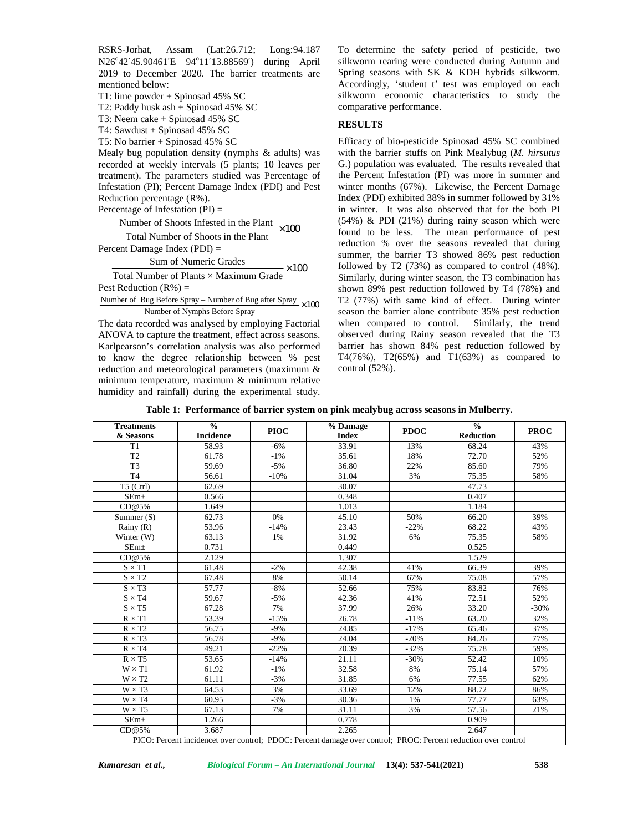RSRS-Jorhat, Assam (Lat:26.712; Long:94.187 N26°42'45.90461'E 94°11'13.88569') during April 2019 to December 2020. The barrier treatments are mentioned below:

T1: lime powder + Spinosad 45% SC

T2: Paddy husk ash + Spinosad 45% SC

T3: Neem cake + Spinosad 45% SC

T4: Sawdust + Spinosad 45% SC

T5: No barrier + Spinosad 45% SC

Mealy bug population density (nymphs & adults) was recorded at weekly intervals (5 plants; 10 leaves per treatment). The parameters studied was Percentage of Infestation (PI); Percent Damage Index (PDI) and Pest Reduction percentage (R%).

Percentage of Infestation  $(PI)$  =

Number of Shoots Infested in the Plant  $\times 100$ 

Total Number of Shoots in the Plant

Percent Damage Index (PDI) =

Sum of Numeric Grades  $\times 100$ 

Total Number of Plants × Maximum Grade

Pest Reduction  $(R\%) =$ 

Number of Bug Before Spray – Number of Bug after Spray  $\times 100$ Number of Nymphs Before Spray

The data recorded was analysed by employing Factorial ANOVA to capture the treatment, effect across seasons. Karlpearson's correlation analysis was also performed to know the degree relationship between % pest reduction and meteorological parameters (maximum & minimum temperature, maximum & minimum relative humidity and rainfall) during the experimental study. To determine the safety period of pesticide, two silkworm rearing were conducted during Autumn and Spring seasons with SK & KDH hybrids silkworm. Accordingly, 'student t' test was employed on each silkworm economic characteristics to study the comparative performance.

## **RESULTS**

 $\times 100$  found to be less. The mean performance of pest  $\times 100$  followed by T2 (73%) as compared to control (48%).  $\times 100$  T2 (77%) with same kind of effect. During winter Efficacy of bio-pesticide Spinosad 45% SC combined with the barrier stuffs on Pink Mealybug (*M. hirsutus* G.) population was evaluated. The results revealed that the Percent Infestation (PI) was more in summer and winter months (67%). Likewise, the Percent Damage Index (PDI) exhibited 38% in summer followed by 31% in winter. It was also observed that for the both PI  $(54%)$  & PDI  $(21%)$  during rainy season which were reduction % over the seasons revealed that during summer, the barrier T3 showed 86% pest reduction Similarly, during winter season, the T3 combination has shown 89% pest reduction followed by T4 (78%) and season the barrier alone contribute 35% pest reduction when compared to control. Similarly, the trend observed during Rainy season revealed that the T3 barrier has shown 84% pest reduction followed by T4(76%), T2(65%) and T1(63%) as compared to control (52%).

|  |  | Table 1: Performance of barrier system on pink mealybug across seasons in Mulberry. |  |
|--|--|-------------------------------------------------------------------------------------|--|
|  |  |                                                                                     |  |

| <b>Treatments</b> | $\frac{0}{0}$    | <b>PIOC</b> | % Damage     | <b>PDOC</b> | $\frac{0}{0}$    | <b>PROC</b> |
|-------------------|------------------|-------------|--------------|-------------|------------------|-------------|
| & Seasons         | <b>Incidence</b> |             | <b>Index</b> |             | <b>Reduction</b> |             |
| T1                | 58.93            | $-6%$       | 33.91        | 13%         | 68.24            | 43%         |
| T2                | 61.78            | $-1\%$      | 35.61        | 18%         | 72.70            | 52%         |
| T <sub>3</sub>    | 59.69            | $-5%$       | 36.80        | 22%         | 85.60            | 79%         |
| T <sub>4</sub>    | 56.61            | $-10%$      | 31.04        | 3%          | 75.35            | 58%         |
| $T5$ (Ctrl)       | 62.69            |             | 30.07        |             | 47.73            |             |
| $SEm+$            | 0.566            |             | 0.348        |             | 0.407            |             |
| CD@5%             | 1.649            |             | 1.013        |             | 1.184            |             |
| Summer $(S)$      | 62.73            | 0%          | 45.10        | 50%         | 66.20            | 39%         |
| Rainy $(R)$       | 53.96            | $-14%$      | 23.43        | $-22%$      | 68.22            | 43%         |
| Winter (W)        | 63.13            | 1%          | 31.92        | 6%          | 75.35            | 58%         |
| SEm <sub>±</sub>  | 0.731            |             | 0.449        |             | 0.525            |             |
| CD@5%             | 2.129            |             | 1.307        |             | 1.529            |             |
| $S \times T1$     | 61.48            | $-2%$       | 42.38        | 41%         | 66.39            | 39%         |
| $S \times T2$     | 67.48            | 8%          | 50.14        | 67%         | 75.08            | 57%         |
| $S \times T3$     | 57.77            | $-8%$       | 52.66        | 75%         | 83.82            | 76%         |
| $S \times T4$     | 59.67            | $-5%$       | 42.36        | 41%         | 72.51            | 52%         |
| $S \times T5$     | 67.28            | 7%          | 37.99        | 26%         | 33.20            | $-30%$      |
| $R \times T1$     | 53.39            | $-15%$      | 26.78        | $-11%$      | 63.20            | 32%         |
| $R \times T2$     | 56.75            | $-9%$       | 24.85        | $-17%$      | 65.46            | 37%         |
| $R \times T3$     | 56.78            | $-9%$       | 24.04        | $-20%$      | 84.26            | 77%         |
| $R \times T4$     | 49.21            | $-22%$      | 20.39        | $-32%$      | 75.78            | 59%         |
| $R \times T5$     | 53.65            | $-14%$      | 21.11        | $-30%$      | 52.42            | 10%         |
| $W \times T1$     | 61.92            | $-1\%$      | 32.58        | 8%          | 75.14            | 57%         |
| $W \times T2$     | 61.11            | $-3%$       | 31.85        | 6%          | 77.55            | 62%         |
| $W \times T3$     | 64.53            | 3%          | 33.69        | 12%         | 88.72            | 86%         |
| $W \times T4$     | 60.95            | $-3%$       | 30.36        | 1%          | 77.77            | 63%         |
| $W \times T5$     | 67.13            | 7%          | 31.11        | 3%          | 57.56            | 21%         |
| SEm <sub>±</sub>  | 1.266            |             | 0.778        |             | 0.909            |             |
| CD@5%             | 3.687            |             | 2.265        |             | 2.647            |             |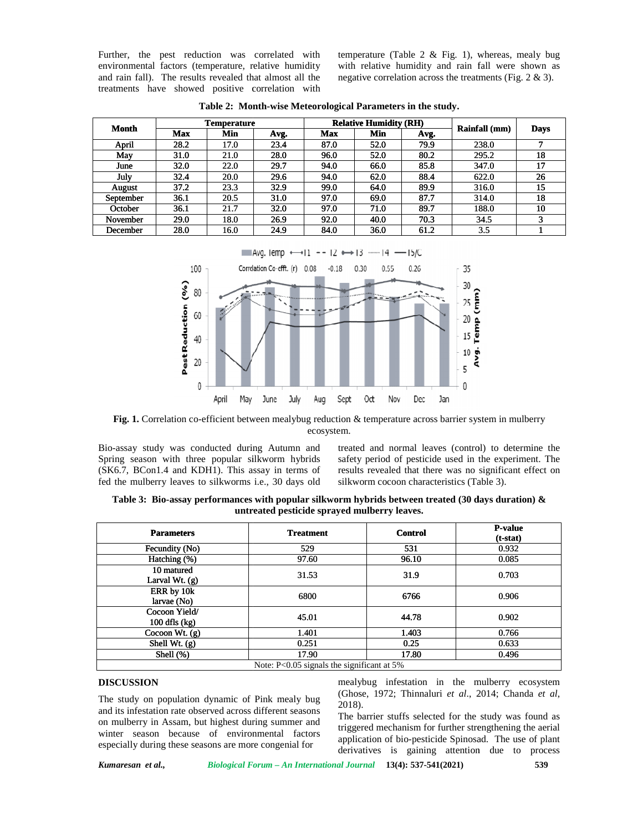| Month     | <b>Temperature</b> |      |      | <b>Relative Humidity (RH)</b> |      |      |               |             |  |
|-----------|--------------------|------|------|-------------------------------|------|------|---------------|-------------|--|
|           | <b>Max</b>         | Min  | Avg. | Max                           | Min  | Avg. | Rainfall (mm) | <b>Days</b> |  |
| April     | 28.2               | 17.0 | 23.4 | 87.0                          | 52.0 | 79.9 | 238.0         | -           |  |
| May       | 31.0               | 21.0 | 28.0 | 96.0                          | 52.0 | 80.2 | 295.2         | 18          |  |
| June      | 32.0               | 22.0 | 29.7 | 94.0                          | 66.0 | 85.8 | 347.0         | 17          |  |
| July      | 32.4               | 20.0 | 29.6 | 94.0                          | 62.0 | 88.4 | 622.0         | 26          |  |
| August    | 37.2               | 23.3 | 32.9 | 99.0                          | 64.0 | 89.9 | 316.0         | 15          |  |
| September | 36.1               | 20.5 | 31.0 | 97.0                          | 69.0 | 87.7 | 314.0         | 18          |  |
| October   | 36.1               | 21.7 | 32.0 | 97.0                          | 71.0 | 89.7 | 188.0         | 10          |  |
| November  | 29.0               | 18.0 | 26.9 | 92.0                          | 40.0 | 70.3 | 34.5          | 3           |  |
| December  | 28.0               | 16.0 | 24.9 | 84.0                          | 36.0 | 61.2 | 3.5           |             |  |

**Table 2: Month-wise Meteorological Parameters in the study.**



**Fig. 1.** Correlation co-efficient between mealybug reduction & temperature across barrier system in mulberry<br>
ecosystem.<br>
Fassay study was conducted during Autumn and<br>
interest and normal leaves (control) to determine the ecosystem.

treated and normal leaves (control) to determine the safety period of pesticide used in the experiment. The results revealed that there was no significant effect on silkworm cocoon characteristics (Table 3). mm and treated and normal leaves (control) to determine the hybrids safety period of pesticide used in the experiment. The results revealed that there was no significant effect on days old silkworm cocoon characteristics (

**Table 3: Bio-assay performances with popular silkworm hybrids between treated (30 days duration) & days duration) &untreated pesticide sprayed mulberry leaves.**

| Further, the pest reduction was correlated with                                                                                                                                                                                                                                                                              |                                           |                    |                                                                  |                           |                               |                | temperature (Table 2 & Fig. 1), whereas, mealy bug                                                                                                                                                                                                                                                                                                                                                                                                                                                   |              |
|------------------------------------------------------------------------------------------------------------------------------------------------------------------------------------------------------------------------------------------------------------------------------------------------------------------------------|-------------------------------------------|--------------------|------------------------------------------------------------------|---------------------------|-------------------------------|----------------|------------------------------------------------------------------------------------------------------------------------------------------------------------------------------------------------------------------------------------------------------------------------------------------------------------------------------------------------------------------------------------------------------------------------------------------------------------------------------------------------------|--------------|
| environmental factors (temperature, relative humidity<br>and rain fall). The results revealed that almost all the                                                                                                                                                                                                            |                                           |                    |                                                                  |                           |                               |                | with relative humidity and rain fall were shown as<br>negative correlation across the treatments (Fig. $2 \& 3$ ).                                                                                                                                                                                                                                                                                                                                                                                   |              |
| treatments have showed positive correlation with                                                                                                                                                                                                                                                                             |                                           |                    |                                                                  |                           |                               |                |                                                                                                                                                                                                                                                                                                                                                                                                                                                                                                      |              |
|                                                                                                                                                                                                                                                                                                                              |                                           |                    | Table 2: Month-wise Meteorological Parameters in the study.      |                           |                               |                |                                                                                                                                                                                                                                                                                                                                                                                                                                                                                                      |              |
|                                                                                                                                                                                                                                                                                                                              |                                           | <b>Temperature</b> |                                                                  |                           | <b>Relative Humidity (RH)</b> |                |                                                                                                                                                                                                                                                                                                                                                                                                                                                                                                      |              |
| Month                                                                                                                                                                                                                                                                                                                        | Max                                       | Min                | Avg.                                                             | <b>Max</b>                | Min                           | Avg.           | Rainfall (mm)                                                                                                                                                                                                                                                                                                                                                                                                                                                                                        | <b>Days</b>  |
| April                                                                                                                                                                                                                                                                                                                        | 28.2                                      | 17.0               | 23.4                                                             | 87.0                      | 52.0                          | 79.9           | 238.0                                                                                                                                                                                                                                                                                                                                                                                                                                                                                                | 7            |
| May                                                                                                                                                                                                                                                                                                                          | 31.0                                      | 21.0               | 28.0                                                             | 96.0                      | 52.0                          | 80.2           | 295.2                                                                                                                                                                                                                                                                                                                                                                                                                                                                                                | 18           |
| June                                                                                                                                                                                                                                                                                                                         | 32.0                                      | 22.0               | 29.7                                                             | 94.0                      | 66.0                          | 85.8           | 347.0                                                                                                                                                                                                                                                                                                                                                                                                                                                                                                | 17           |
| July<br>August                                                                                                                                                                                                                                                                                                               | 32.4<br>37.2                              | 20.0<br>23.3       | 29.6<br>32.9                                                     | 94.0<br>99.0              | 62.0<br>64.0                  | 88.4<br>89.9   | 622.0<br>316.0                                                                                                                                                                                                                                                                                                                                                                                                                                                                                       | 26<br>15     |
| September                                                                                                                                                                                                                                                                                                                    | 36.1                                      | 20.5               | 31.0                                                             | 97.0                      | 69.0                          | 87.7           | 314.0                                                                                                                                                                                                                                                                                                                                                                                                                                                                                                | 18           |
| October                                                                                                                                                                                                                                                                                                                      | 36.1                                      | 21.7               | 32.0                                                             | 97.0                      | 71.0                          | 89.7           | 188.0                                                                                                                                                                                                                                                                                                                                                                                                                                                                                                | 10           |
| November                                                                                                                                                                                                                                                                                                                     | 29.0                                      | 18.0               | 26.9                                                             | 92.0                      | 40.0                          | 70.3           | 34.5                                                                                                                                                                                                                                                                                                                                                                                                                                                                                                 | 3            |
| December                                                                                                                                                                                                                                                                                                                     | 28.0                                      | 16.0               | 24.9                                                             | 84.0                      | 36.0                          | 61.2           | 3.5                                                                                                                                                                                                                                                                                                                                                                                                                                                                                                  | $\mathbf{1}$ |
| Bio-assay study was conducted during Autumn and<br>Spring season with three popular silkworm hybrids<br>(SK6.7, BCon1.4 and KDH1). This assay in terms of<br>fed the mulberry leaves to silkworms i.e., 30 days old                                                                                                          | Pest Reduction (%)<br>60<br>40<br>20<br>0 | May<br>April       | July<br>June                                                     | Sept<br>Aug<br>ecosystem. | Oct<br>Nov                    | Dec<br>Jan     | Temp (mm)<br>25<br>20<br>15<br>Avg.<br>10<br>5<br>O<br>Fig. 1. Correlation co-efficient between mealybug reduction & temperature across barrier system in mulberry<br>treated and normal leaves (control) to determine the<br>safety period of pesticide used in the experiment. The<br>results revealed that there was no significant effect on<br>silkworm cocoon characteristics (Table 3).<br>Table 3: Bio-assay performances with popular silkworm hybrids between treated (30 days duration) & |              |
| untreated pesticide sprayed mulberry leaves.<br><b>Parameters</b><br><b>Treatment</b>                                                                                                                                                                                                                                        |                                           |                    |                                                                  |                           |                               | <b>Control</b> | <b>P-value</b>                                                                                                                                                                                                                                                                                                                                                                                                                                                                                       |              |
|                                                                                                                                                                                                                                                                                                                              | Fecundity (No)                            |                    | 529                                                              |                           |                               | 531            | $(t-stat)$<br>0.932                                                                                                                                                                                                                                                                                                                                                                                                                                                                                  |              |
| Hatching (%)                                                                                                                                                                                                                                                                                                                 |                                           |                    |                                                                  | 97.60                     | 96.10                         |                | 0.085                                                                                                                                                                                                                                                                                                                                                                                                                                                                                                |              |
| 10 matured<br>Larval Wt. (g)                                                                                                                                                                                                                                                                                                 |                                           |                    |                                                                  | 31.53                     |                               | 31.9           | 0.703                                                                                                                                                                                                                                                                                                                                                                                                                                                                                                |              |
| ERR by 10k<br>larvae (No)                                                                                                                                                                                                                                                                                                    |                                           | 6800               |                                                                  | 6766                      | 0.906                         |                |                                                                                                                                                                                                                                                                                                                                                                                                                                                                                                      |              |
|                                                                                                                                                                                                                                                                                                                              | Cocoon Yield/<br>$100$ dfls $(kg)$        | 45.01              |                                                                  |                           | 44.78                         | 0.902          |                                                                                                                                                                                                                                                                                                                                                                                                                                                                                                      |              |
|                                                                                                                                                                                                                                                                                                                              | Cocoon Wt. $(g)$                          | 1.401              |                                                                  |                           | 1.403                         | 0.766          |                                                                                                                                                                                                                                                                                                                                                                                                                                                                                                      |              |
| Shell Wt. (g)<br>Shell (%)                                                                                                                                                                                                                                                                                                   |                                           |                    |                                                                  | 0.251<br>17.90            |                               | 0.25<br>17.80  | 0.633<br>0.496                                                                                                                                                                                                                                                                                                                                                                                                                                                                                       |              |
|                                                                                                                                                                                                                                                                                                                              |                                           |                    | Note: P<0.05 signals the significant at 5%                       |                           |                               |                |                                                                                                                                                                                                                                                                                                                                                                                                                                                                                                      |              |
| <b>DISCUSSION</b><br>The study on population dynamic of Pink mealy bug<br>and its infestation rate observed across different seasons<br>on mulberry in Assam, but highest during summer and<br>winter season because of environmental factors<br>especially during these seasons are more congenial for<br>Kumaresan et al., |                                           |                    | Biological Forum - An International Journal 13(4): 537-541(2021) | 2018).                    |                               |                | mealybug infestation in the mulberry ecosystem<br>(Ghose, 1972; Thinnaluri et al., 2014; Chanda et al,<br>The barrier stuffs selected for the study was found as<br>triggered mechanism for further strengthening the aerial<br>application of bio-pesticide Spinosad. The use of plant<br>derivatives is gaining attention due to process                                                                                                                                                           | 539          |

#### **DISCUSSION**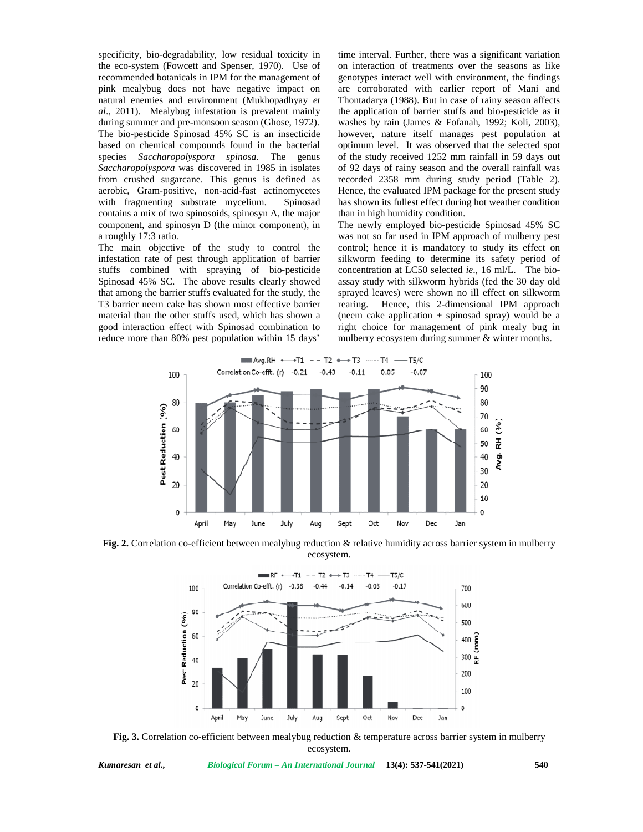specificity, bio-degradability, low residual toxicity in the eco-system (Fowcett and Spenser, 1970). Use of recommended botanicals in IPM for the management of pink mealybug does not have negative impact on natural enemies and environment (Mukhopadhyay *et al*., 2011). Mealybug infestation is prevalent mainly during summer and pre-monsoon season (Ghose, 1972). The bio-pesticide Spinosad 45% SC is an insecticide based on chemical compounds found in the bacterial species *Saccharopolyspora spinosa*. The genus *Saccharopolyspora* was discovered in 1985 in isolates from crushed sugarcane. This genus is defined as aerobic, Gram-positive, non-acid-fast actinomycetes with fragmenting substrate mycelium. Spinosad contains a mix of two spinosoids, spinosyn A, the major component, and spinosyn D (the minor component), in a roughly 17:3 ratio. The bio-pesticide Spinosad 45% SC is an insecticide<br>based on chemical compounds found in the bacterial<br>species *Saccharopolyspora spinosa*. The genus of<br>*Saccharopolyspora* was discovered in 1985 in isolates<br>of from crushe

The main objective of the study to control the infestation rate of pest through application of barrier stuffs combined with spraying of bio-pesticide Spinosad 45% SC. The above results clearly showed that among the barrier stuffs evaluated for the study, the spra T3 barrier neem cake has shown most effective barrier material than the other stuffs used, which has shown a good interaction effect with Spinosad combination to reduce more than 80% pest population within 15 days'

time interval. Further, there was a significant variation on interaction of treatments over the seasons as like genotypes interact well with environment, the findings are corroborated with earlier report of Mani and Thontadarya (1988). But in case of rainy season affects the application of barrier stuffs and bio-pesticide as it washes by rain (James & Fofanah, 1992; Koli, 2003), however, nature itself manages pest population at optimum level. It was observed that the selected spot of the study received 1252 mm rainfall in 59 days out of 92 days of rainy season and the overall rainfall was recorded 2358 mm during study period (Table 2). Hence, the evaluated IPM package for the present study has shown its fullest effect during hot weather condition than in high humidity condition. io-degradability, low resident various in time interval. Further, there was a significant various and the streaments over the seasons as like thordinals in IPM for the management of genotypes interact well with environment

The newly employed bio-pesticide Spinosad 45% SC was not so far used in IPM approach of mulberry pest control; hence it is mandatory to study its effect on silkworm feeding to determine its safety period of concentration at LC50 selected *ie*., 16 ml/L. The bio assay study with silkworm hybrids (fed the 30 day old sprayed leaves) were shown no ill effect on silkworm rearing. Hence, this 2-dimensional IPM approach (neem cake application + spinosad spray) would be a right choice for management of pink mealy bug in mulberry ecosystem during summer & winter months. has shown its fullest effect during hot weather condition<br>than in high humidity condition.<br>The newly employed bio-pesticide Spinosad 45% SC<br>was not so far used in IPM approach of mulberry pest<br>control; hence it is mandator



**Fig. 2.** Correlation co-efficient between mealybug reduction & relative humidity across barrier system in mulberry ecosystem.



**Fig. 3.** Correlation co-efficient between mealybug reduction & temperature across barrier system in mulberry ecosystem.